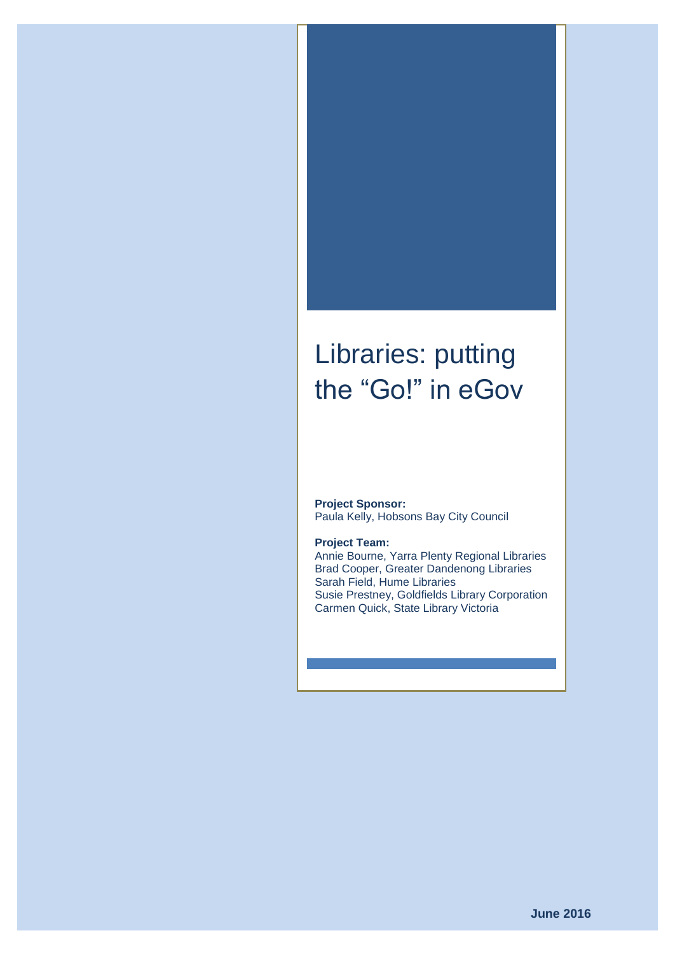# Libraries: putting the "Go!" in eGov

**Project Sponsor:** Paula Kelly, Hobsons Bay City Council

#### **Project Team:**

Annie Bourne, Yarra Plenty Regional Libraries Brad Cooper, Greater Dandenong Libraries Sarah Field, Hume Libraries Susie Prestney, Goldfields Library Corporation Carmen Quick, State Library Victoria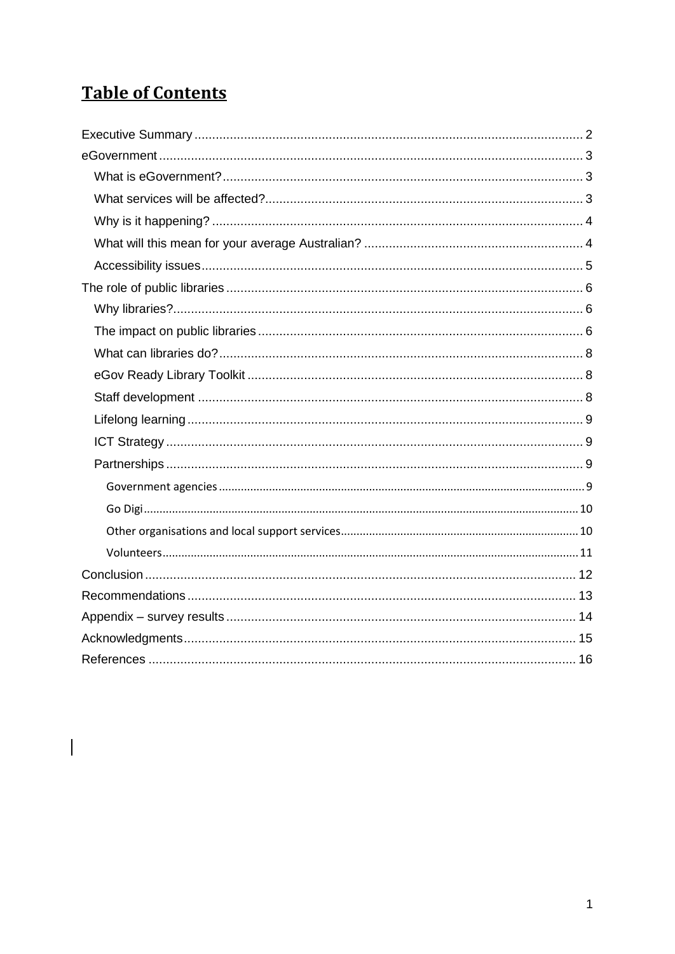## **Table of Contents**

 $\begin{array}{c} \hline \end{array}$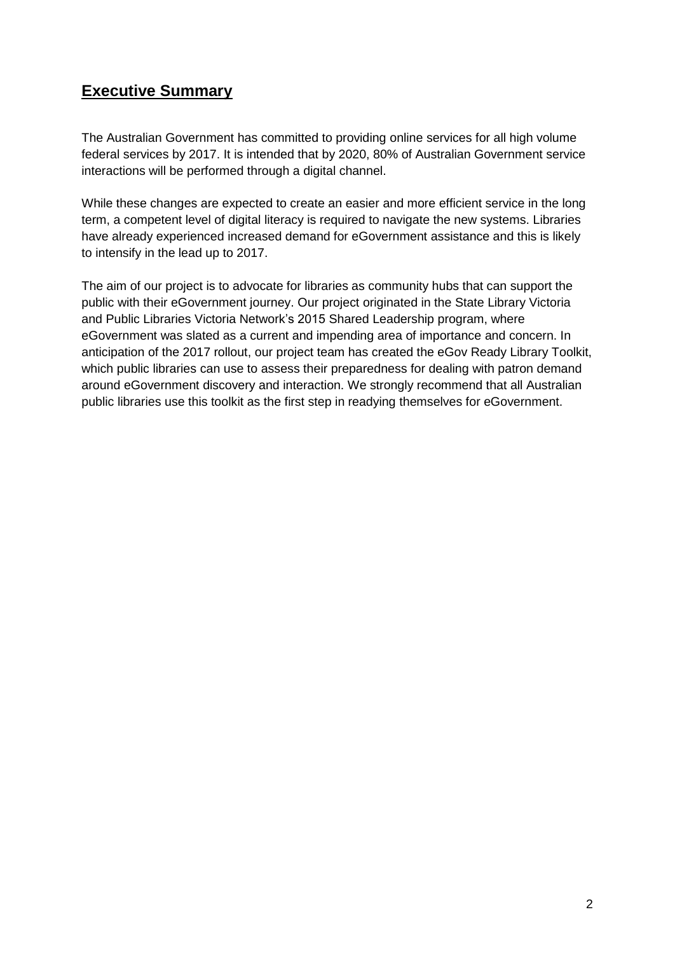## <span id="page-2-0"></span>**Executive Summary**

The Australian Government has committed to providing online services for all high volume federal services by 2017. It is intended that by 2020, 80% of Australian Government service interactions will be performed through a digital channel.

While these changes are expected to create an easier and more efficient service in the long term, a competent level of digital literacy is required to navigate the new systems. Libraries have already experienced increased demand for eGovernment assistance and this is likely to intensify in the lead up to 2017.

The aim of our project is to advocate for libraries as community hubs that can support the public with their eGovernment journey. Our project originated in the State Library Victoria and Public Libraries Victoria Network's 2015 Shared Leadership program, where eGovernment was slated as a current and impending area of importance and concern. In anticipation of the 2017 rollout, our project team has created the eGov Ready Library Toolkit, which public libraries can use to assess their preparedness for dealing with patron demand around eGovernment discovery and interaction. We strongly recommend that all Australian public libraries use this toolkit as the first step in readying themselves for eGovernment.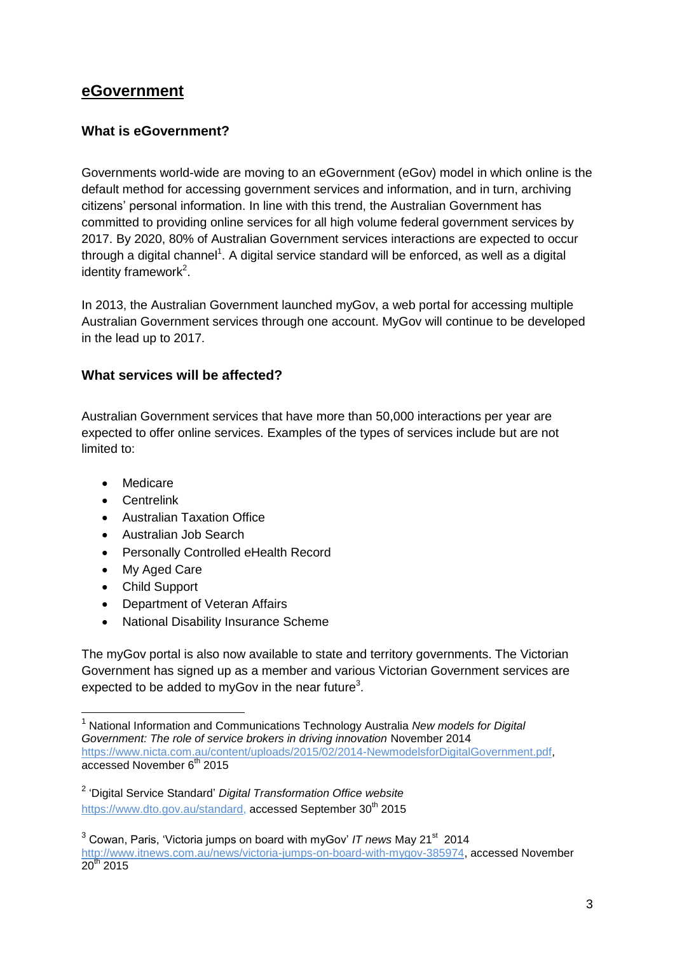## <span id="page-3-0"></span>**eGovernment**

#### <span id="page-3-1"></span>**What is eGovernment?**

Governments world-wide are moving to an eGovernment (eGov) model in which online is the default method for accessing government services and information, and in turn, archiving citizens' personal information. In line with this trend, the Australian Government has committed to providing online services for all high volume federal government services by 2017. By 2020, 80% of Australian Government services interactions are expected to occur through a digital channel<sup>1</sup>. A digital service standard will be enforced, as well as a digital identity framework<sup>2</sup>.

In 2013, the Australian Government launched myGov, a web portal for accessing multiple Australian Government services through one account. MyGov will continue to be developed in the lead up to 2017.

#### <span id="page-3-2"></span>**What services will be affected?**

Australian Government services that have more than 50,000 interactions per year are expected to offer online services. Examples of the types of services include but are not limited to:

- Medicare
- Centrelink
- Australian Taxation Office
- Australian Job Search
- Personally Controlled eHealth Record
- My Aged Care
- Child Support

-

- Department of Veteran Affairs
- National Disability Insurance Scheme

The myGov portal is also now available to state and territory governments. The Victorian Government has signed up as a member and various Victorian Government services are expected to be added to myGov in the near future<sup>3</sup>.

<sup>1</sup> National Information and Communications Technology Australia *New models for Digital Government: The role of service brokers in driving innovation* November 2014 [https://www.nicta.com.au/content/uploads/2015/02/2014-NewmodelsforDigitalGovernment.pdf,](https://www.nicta.com.au/content/uploads/2015/02/2014-NewmodelsforDigitalGovernment.pdf)  $\overline{accessed November 6<sup>th</sup> 2015}$ 

<sup>2</sup> 'Digital Service Standard' *Digital Transformation Office website* [https://www.dto.gov.au/standard,](https://www.dto.gov.au/standard) accessed September 30<sup>th</sup> 2015

<sup>&</sup>lt;sup>3</sup> Cowan, Paris, 'Victoria jumps on board with myGov' IT news May 21<sup>st</sup> 2014 [http://www.itnews.com.au/news/victoria-jumps-on-board-with-mygov-385974,](http://www.itnews.com.au/news/victoria-jumps-on-board-with-mygov-385974) accessed November  $\frac{100 \text{ m}}{20^{\text{th}}}$  2015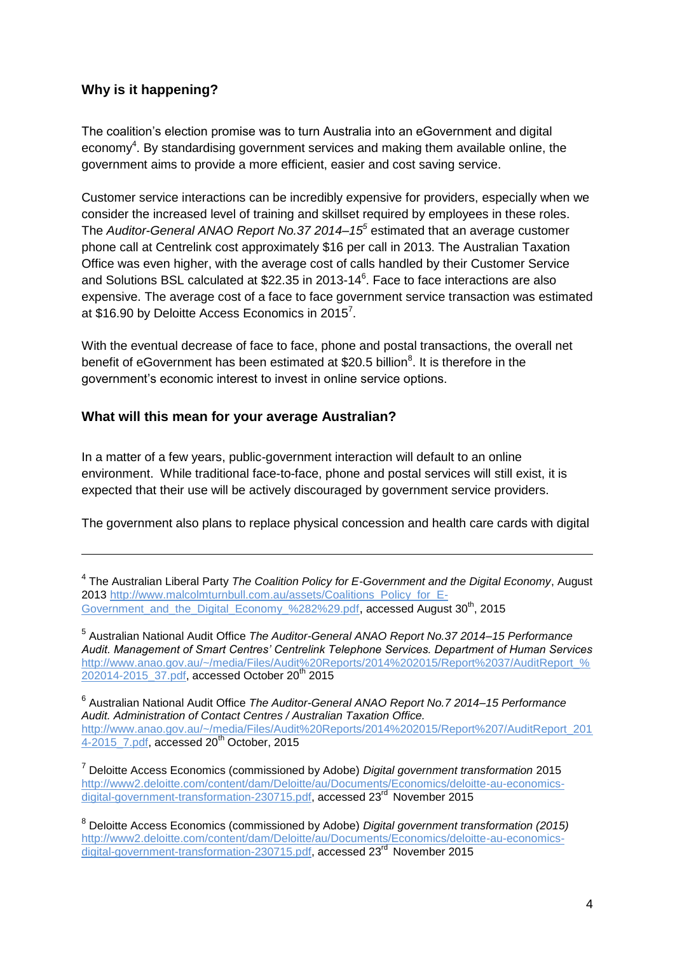#### <span id="page-4-0"></span>**Why is it happening?**

-

The coalition's election promise was to turn Australia into an eGovernment and digital economy<sup>4</sup>. By standardising government services and making them available online, the government aims to provide a more efficient, easier and cost saving service.

Customer service interactions can be incredibly expensive for providers, especially when we consider the increased level of training and skillset required by employees in these roles. The *Auditor-General ANAO Report No.37 2014–15<sup>5</sup>* estimated that an average customer phone call at Centrelink cost approximately \$16 per call in 2013. The Australian Taxation Office was even higher, with the average cost of calls handled by their Customer Service and Solutions BSL calculated at \$22.35 in 2013-14<sup>6</sup>. Face to face interactions are also expensive. The average cost of a face to face government service transaction was estimated at \$16.90 by Deloitte Access Economics in 2015<sup>7</sup>.

With the eventual decrease of face to face, phone and postal transactions, the overall net benefit of eGovernment has been estimated at \$20.5 billion<sup>8</sup>. It is therefore in the government's economic interest to invest in online service options.

#### <span id="page-4-1"></span>**What will this mean for your average Australian?**

In a matter of a few years, public-government interaction will default to an online environment. While traditional face-to-face, phone and postal services will still exist, it is expected that their use will be actively discouraged by government service providers.

The government also plans to replace physical concession and health care cards with digital

6 Australian National Audit Office *The Auditor-General ANAO Report No.7 2014–15 Performance Audit. Administration of Contact Centres / Australian Taxation Office.*  [http://www.anao.gov.au/~/media/Files/Audit%20Reports/2014%202015/Report%207/AuditReport\\_201](http://www.anao.gov.au/~/media/Files/Audit%20Reports/2014%202015/Report%207/AuditReport_2014-2015_7.pdf) 4-2015 7.pdf, accessed 20<sup>th</sup> October, 2015

<sup>7</sup> Deloitte Access Economics (commissioned by Adobe) *Digital government transformation* 2015 [http://www2.deloitte.com/content/dam/Deloitte/au/Documents/Economics/deloitte-au-economics](http://www2.deloitte.com/content/dam/Deloitte/au/Documents/Economics/deloitte-au-economics-digital-government-transformation-230715.pdf)[digital-government-transformation-230715.pdf,](http://www2.deloitte.com/content/dam/Deloitte/au/Documents/Economics/deloitte-au-economics-digital-government-transformation-230715.pdf) accessed 23<sup>rd</sup> November 2015

<sup>4</sup> The Australian Liberal Party *The Coalition Policy for E-Government and the Digital Economy*, August 2013 [http://www.malcolmturnbull.com.au/assets/Coalitions\\_Policy\\_for\\_E-](http://www.malcolmturnbull.com.au/assets/Coalitions_Policy_for_E-Government_and_the_Digital_Economy_%282%29.pdf)[Government\\_and\\_the\\_Digital\\_Economy\\_%282%29.pdf](http://www.malcolmturnbull.com.au/assets/Coalitions_Policy_for_E-Government_and_the_Digital_Economy_%282%29.pdf), accessed August 30<sup>th</sup>, 2015

<sup>5</sup> Australian National Audit Office *The Auditor-General ANAO Report No.37 2014–15 Performance Audit. Management of Smart Centres' Centrelink Telephone Services. Department of Human Services* [http://www.anao.gov.au/~/media/Files/Audit%20Reports/2014%202015/Report%2037/AuditReport\\_%](http://www.anao.gov.au/~/media/Files/Audit%20Reports/2014%202015/Report%2037/AuditReport_%202014-2015_37.pdf) [202014-2015\\_37.pdf,](http://www.anao.gov.au/~/media/Files/Audit%20Reports/2014%202015/Report%2037/AuditReport_%202014-2015_37.pdf) accessed October 20<sup>th</sup> 2015

<sup>8</sup> Deloitte Access Economics (commissioned by Adobe) *Digital government transformation (2015)* [http://www2.deloitte.com/content/dam/Deloitte/au/Documents/Economics/deloitte-au-economics](http://www2.deloitte.com/content/dam/Deloitte/au/Documents/Economics/deloitte-au-economics-digital-government-transformation-230715.pdf)[digital-government-transformation-230715.pdf,](http://www2.deloitte.com/content/dam/Deloitte/au/Documents/Economics/deloitte-au-economics-digital-government-transformation-230715.pdf) accessed 23<sup>rd</sup> November 2015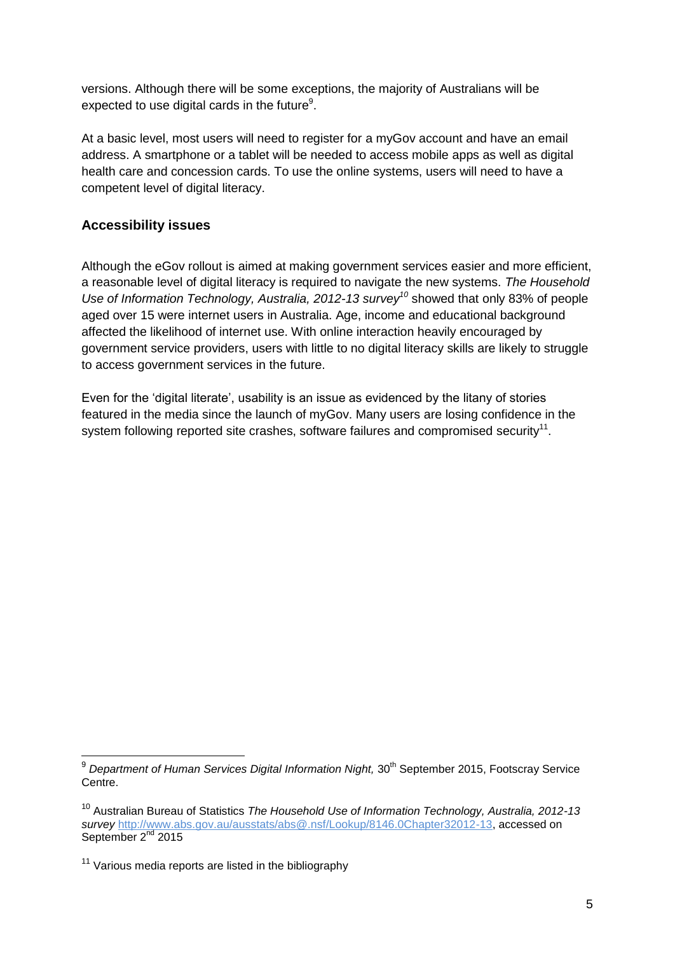versions. Although there will be some exceptions, the majority of Australians will be expected to use digital cards in the future $9$ .

At a basic level, most users will need to register for a myGov account and have an email address. A smartphone or a tablet will be needed to access mobile apps as well as digital health care and concession cards. To use the online systems, users will need to have a competent level of digital literacy.

#### <span id="page-5-0"></span>**Accessibility issues**

Although the eGov rollout is aimed at making government services easier and more efficient, a reasonable level of digital literacy is required to navigate the new systems. *The Household Use of Information Technology, Australia, 2012-13 survey<sup>10</sup>* showed that only 83% of people aged over 15 were internet users in Australia. Age, income and educational background affected the likelihood of internet use. With online interaction heavily encouraged by government service providers, users with little to no digital literacy skills are likely to struggle to access government services in the future.

Even for the 'digital literate', usability is an issue as evidenced by the litany of stories featured in the media since the launch of myGov. Many users are losing confidence in the system following reported site crashes, software failures and compromised security<sup>11</sup>.

-

<sup>&</sup>lt;sup>9</sup> Department of Human Services Digital Information Night, 30<sup>th</sup> September 2015, Footscray Service Centre.

<sup>10</sup> Australian Bureau of Statistics *The Household Use of Information Technology, Australia, 2012-13 survey* [http://www.abs.gov.au/ausstats/abs@.nsf/Lookup/8146.0Chapter32012-13,](http://www.abs.gov.au/ausstats/abs@.nsf/Lookup/8146.0Chapter32012-13) accessed on September 2<sup>nd</sup> 2015

 $11$  Various media reports are listed in the bibliography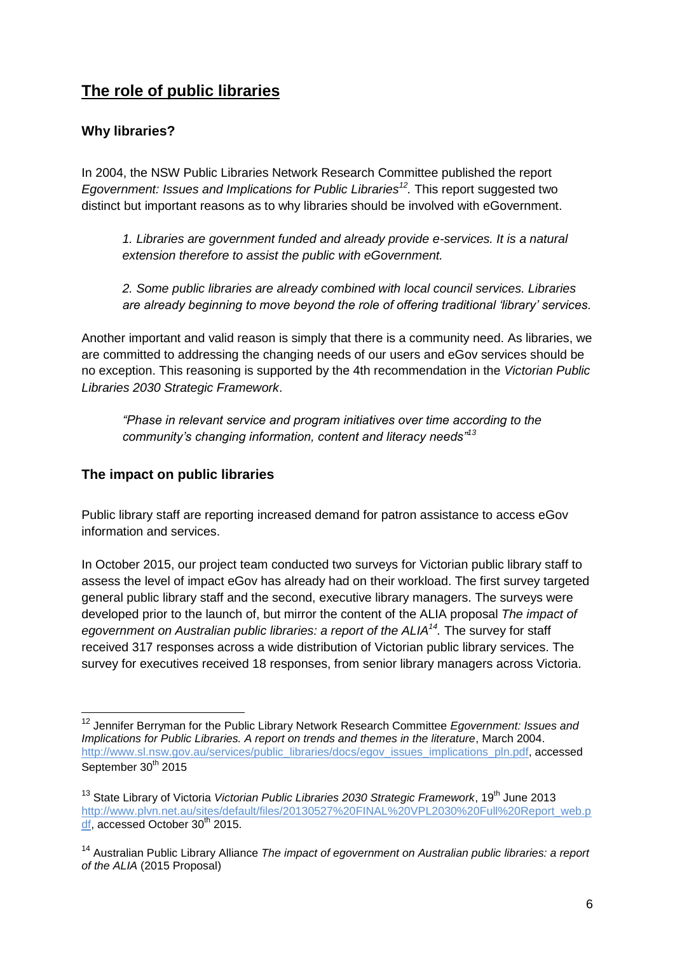## <span id="page-6-0"></span>**The role of public libraries**

#### <span id="page-6-1"></span>**Why libraries?**

In 2004, the NSW Public Libraries Network Research Committee published the report *Egovernment: Issues and Implications for Public Libraries<sup>12</sup> .* This report suggested two distinct but important reasons as to why libraries should be involved with eGovernment.

*1. Libraries are government funded and already provide e-services. It is a natural extension therefore to assist the public with eGovernment.*

*2. Some public libraries are already combined with local council services. Libraries are already beginning to move beyond the role of offering traditional 'library' services.*

Another important and valid reason is simply that there is a community need. As libraries, we are committed to addressing the changing needs of our users and eGov services should be no exception. This reasoning is supported by the 4th recommendation in the *Victorian Public Libraries 2030 Strategic Framework*.

*"Phase in relevant service and program initiatives over time according to the community's changing information, content and literacy needs"<sup>13</sup>*

#### <span id="page-6-2"></span>**The impact on public libraries**

-

Public library staff are reporting increased demand for patron assistance to access eGov information and services.

In October 2015, our project team conducted two surveys for Victorian public library staff to assess the level of impact eGov has already had on their workload. The first survey targeted general public library staff and the second, executive library managers. The surveys were developed prior to the launch of, but mirror the content of the ALIA proposal *The impact of egovernment on Australian public libraries: a report of the ALIA<sup>14</sup> .* The survey for staff received 317 responses across a wide distribution of Victorian public library services. The survey for executives received 18 responses, from senior library managers across Victoria.

<sup>12</sup> Jennifer Berryman for the Public Library Network Research Committee *Egovernment: Issues and Implications for Public Libraries. A report on trends and themes in the literature*, March 2004. [http://www.sl.nsw.gov.au/services/public\\_libraries/docs/egov\\_issues\\_implications\\_pln.pdf,](http://www.sl.nsw.gov.au/services/public_libraries/docs/egov_issues_implications_pln.pdf) accessed September 30<sup>th</sup> 2015

<sup>&</sup>lt;sup>13</sup> State Library of Victoria *Victorian Public Libraries 2030 Strategic Framework*, 19<sup>th</sup> June 2013 [http://www.plvn.net.au/sites/default/files/20130527%20FINAL%20VPL2030%20Full%20Report\\_web.p](http://www.plvn.net.au/sites/default/files/20130527%20FINAL%20VPL2030%20Full%20Report_web.pdf) [df,](http://www.plvn.net.au/sites/default/files/20130527%20FINAL%20VPL2030%20Full%20Report_web.pdf) accessed October 30<sup>th</sup> 2015.

<sup>14</sup> Australian Public Library Alliance *The impact of egovernment on Australian public libraries: a report of the ALIA* (2015 Proposal)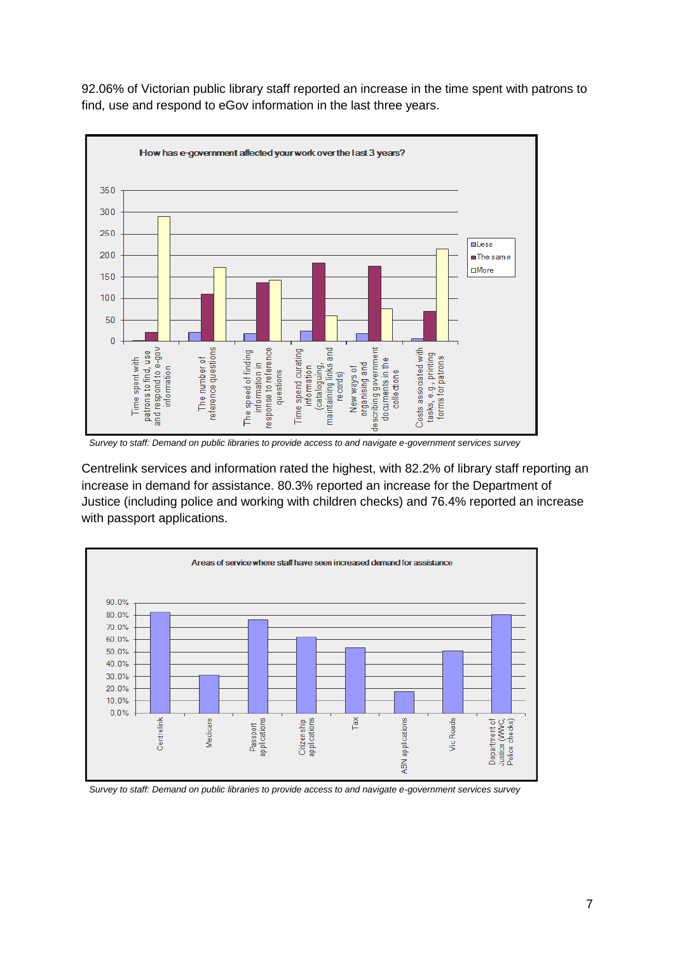92.06% of Victorian public library staff reported an increase in the time spent with patrons to find, use and respond to eGov information in the last three years.



 *Survey to staff: Demand on public libraries to provide access to and navigate e-government services survey*

Centrelink services and information rated the highest, with 82.2% of library staff reporting an increase in demand for assistance. 80.3% reported an increase for the Department of Justice (including police and working with children checks) and 76.4% reported an increase with passport applications.



 *Survey to staff: Demand on public libraries to provide access to and navigate e-government services survey*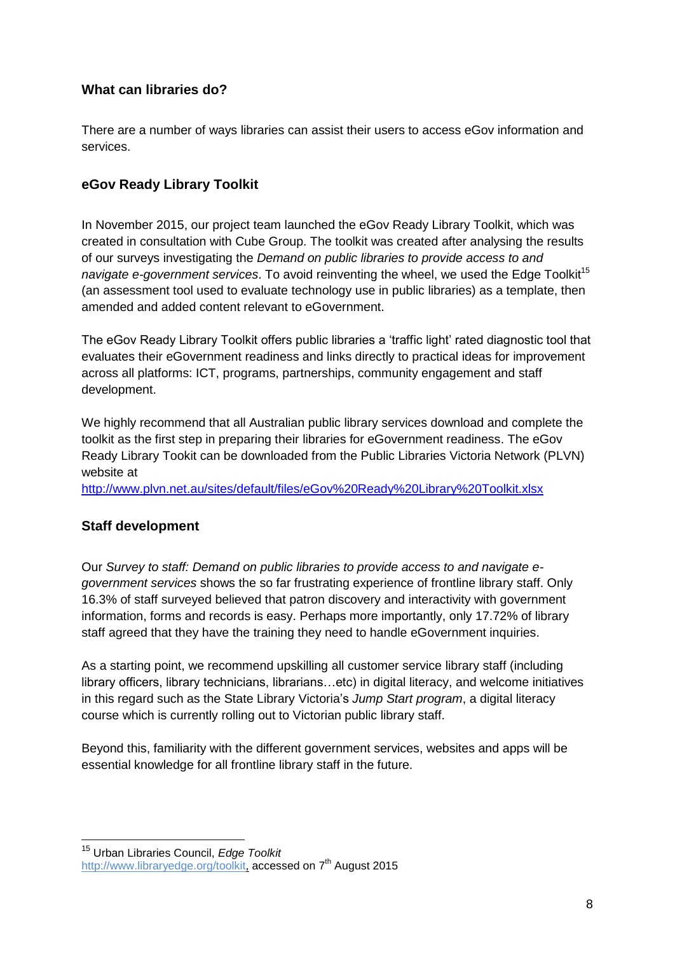#### <span id="page-8-0"></span>**What can libraries do?**

There are a number of ways libraries can assist their users to access eGov information and services.

#### <span id="page-8-1"></span>**eGov Ready Library Toolkit**

In November 2015, our project team launched the eGov Ready Library Toolkit, which was created in consultation with Cube Group. The toolkit was created after analysing the results of our surveys investigating the *Demand on public libraries to provide access to and navigate e-government services*. To avoid reinventing the wheel, we used the Edge Toolkit<sup>15</sup> (an assessment tool used to evaluate technology use in public libraries) as a template, then amended and added content relevant to eGovernment.

The eGov Ready Library Toolkit offers public libraries a 'traffic light' rated diagnostic tool that evaluates their eGovernment readiness and links directly to practical ideas for improvement across all platforms: ICT, programs, partnerships, community engagement and staff development.

We highly recommend that all Australian public library services download and complete the toolkit as the first step in preparing their libraries for eGovernment readiness. The eGov Ready Library Tookit can be downloaded from the Public Libraries Victoria Network (PLVN) website at

<span id="page-8-2"></span><http://www.plvn.net.au/sites/default/files/eGov%20Ready%20Library%20Toolkit.xlsx>

#### **Staff development**

-

Our *Survey to staff: Demand on public libraries to provide access to and navigate egovernment services* shows the so far frustrating experience of frontline library staff. Only 16.3% of staff surveyed believed that patron discovery and interactivity with government information, forms and records is easy. Perhaps more importantly, only 17.72% of library staff agreed that they have the training they need to handle eGovernment inquiries.

As a starting point, we recommend upskilling all customer service library staff (including library officers, library technicians, librarians…etc) in digital literacy, and welcome initiatives in this regard such as the State Library Victoria's *Jump Start program*, a digital literacy course which is currently rolling out to Victorian public library staff.

Beyond this, familiarity with the different government services, websites and apps will be essential knowledge for all frontline library staff in the future.

<sup>15</sup> Urban Libraries Council, *Edge Toolkit* [http://www.libraryedge.org/toolkit,](http://www.libraryedge.org/toolkit) accessed on 7<sup>th</sup> August 2015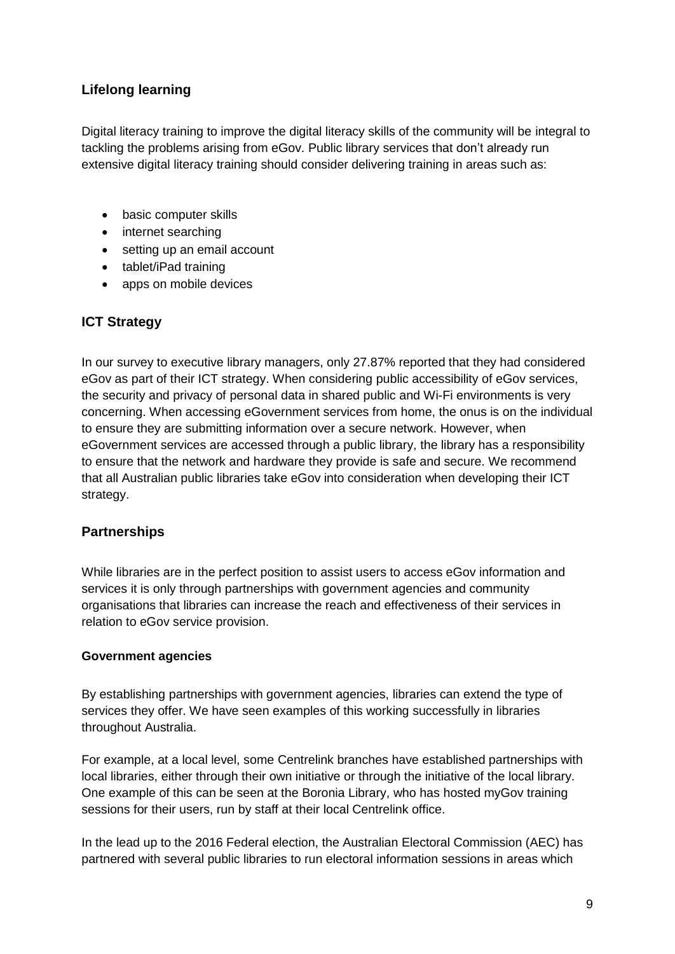#### <span id="page-9-0"></span>**Lifelong learning**

Digital literacy training to improve the digital literacy skills of the community will be integral to tackling the problems arising from eGov. Public library services that don't already run extensive digital literacy training should consider delivering training in areas such as:

- basic computer skills
- internet searching
- setting up an email account
- tablet/iPad training
- apps on mobile devices

## <span id="page-9-1"></span>**ICT Strategy**

In our survey to executive library managers, only 27.87% reported that they had considered eGov as part of their ICT strategy. When considering public accessibility of eGov services, the security and privacy of personal data in shared public and Wi-Fi environments is very concerning. When accessing eGovernment services from home, the onus is on the individual to ensure they are submitting information over a secure network. However, when eGovernment services are accessed through a public library, the library has a responsibility to ensure that the network and hardware they provide is safe and secure. We recommend that all Australian public libraries take eGov into consideration when developing their ICT strategy.

#### <span id="page-9-2"></span>**Partnerships**

While libraries are in the perfect position to assist users to access eGov information and services it is only through partnerships with government agencies and community organisations that libraries can increase the reach and effectiveness of their services in relation to eGov service provision.

#### <span id="page-9-3"></span>**Government agencies**

By establishing partnerships with government agencies, libraries can extend the type of services they offer. We have seen examples of this working successfully in libraries throughout Australia.

For example, at a local level, some Centrelink branches have established partnerships with local libraries, either through their own initiative or through the initiative of the local library. One example of this can be seen at the Boronia Library, who has hosted myGov training sessions for their users, run by staff at their local Centrelink office.

In the lead up to the 2016 Federal election, the Australian Electoral Commission (AEC) has partnered with several public libraries to run electoral information sessions in areas which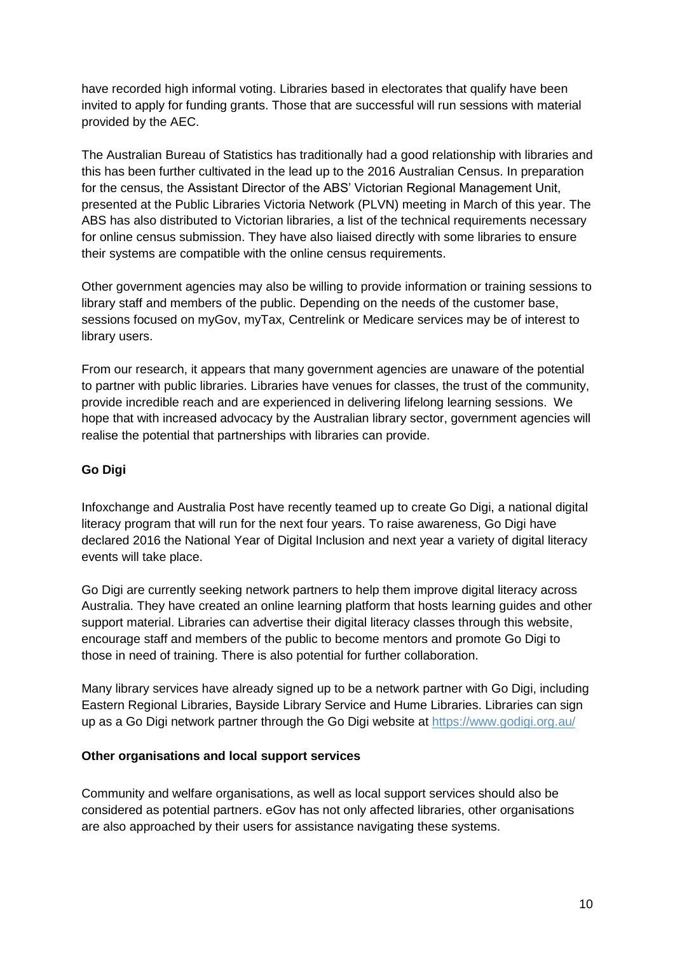have recorded high informal voting. Libraries based in electorates that qualify have been invited to apply for funding grants. Those that are successful will run sessions with material provided by the AEC.

The Australian Bureau of Statistics has traditionally had a good relationship with libraries and this has been further cultivated in the lead up to the 2016 Australian Census. In preparation for the census, the Assistant Director of the ABS' Victorian Regional Management Unit, presented at the Public Libraries Victoria Network (PLVN) meeting in March of this year. The ABS has also distributed to Victorian libraries, a list of the technical requirements necessary for online census submission. They have also liaised directly with some libraries to ensure their systems are compatible with the online census requirements.

Other government agencies may also be willing to provide information or training sessions to library staff and members of the public. Depending on the needs of the customer base, sessions focused on myGov, myTax, Centrelink or Medicare services may be of interest to library users.

From our research, it appears that many government agencies are unaware of the potential to partner with public libraries. Libraries have venues for classes, the trust of the community, provide incredible reach and are experienced in delivering lifelong learning sessions. We hope that with increased advocacy by the Australian library sector, government agencies will realise the potential that partnerships with libraries can provide.

#### <span id="page-10-0"></span>**Go Digi**

Infoxchange and Australia Post have recently teamed up to create Go Digi, a national digital literacy program that will run for the next four years. To raise awareness, Go Digi have declared 2016 the National Year of Digital Inclusion and next year a variety of digital literacy events will take place.

Go Digi are currently seeking network partners to help them improve digital literacy across Australia. They have created an online learning platform that hosts learning guides and other support material. Libraries can advertise their digital literacy classes through this website, encourage staff and members of the public to become mentors and promote Go Digi to those in need of training. There is also potential for further collaboration.

Many library services have already signed up to be a network partner with Go Digi, including Eastern Regional Libraries, Bayside Library Service and Hume Libraries. Libraries can sign up as a Go Digi network partner through the Go Digi website at<https://www.godigi.org.au/>

#### <span id="page-10-1"></span>**Other organisations and local support services**

Community and welfare organisations, as well as local support services should also be considered as potential partners. eGov has not only affected libraries, other organisations are also approached by their users for assistance navigating these systems.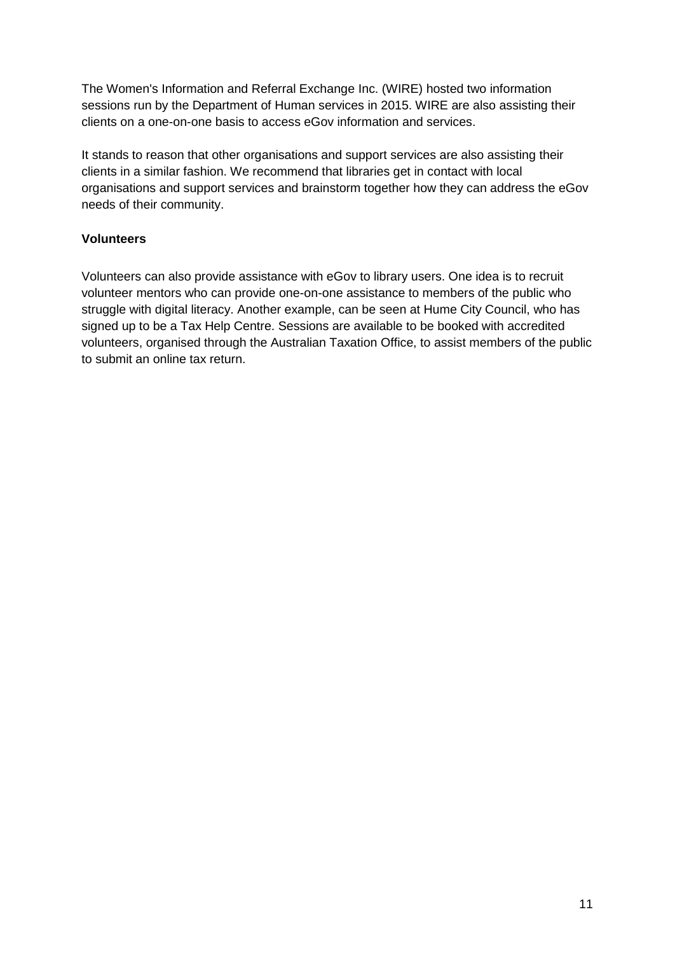The Women's Information and Referral Exchange Inc. (WIRE) hosted two information sessions run by the Department of Human services in 2015. WIRE are also assisting their clients on a one-on-one basis to access eGov information and services.

It stands to reason that other organisations and support services are also assisting their clients in a similar fashion. We recommend that libraries get in contact with local organisations and support services and brainstorm together how they can address the eGov needs of their community.

#### <span id="page-11-0"></span>**Volunteers**

Volunteers can also provide assistance with eGov to library users. One idea is to recruit volunteer mentors who can provide one-on-one assistance to members of the public who struggle with digital literacy. Another example, can be seen at Hume City Council, who has signed up to be a Tax Help Centre. Sessions are available to be booked with accredited volunteers, organised through the Australian Taxation Office, to assist members of the public to submit an online tax return.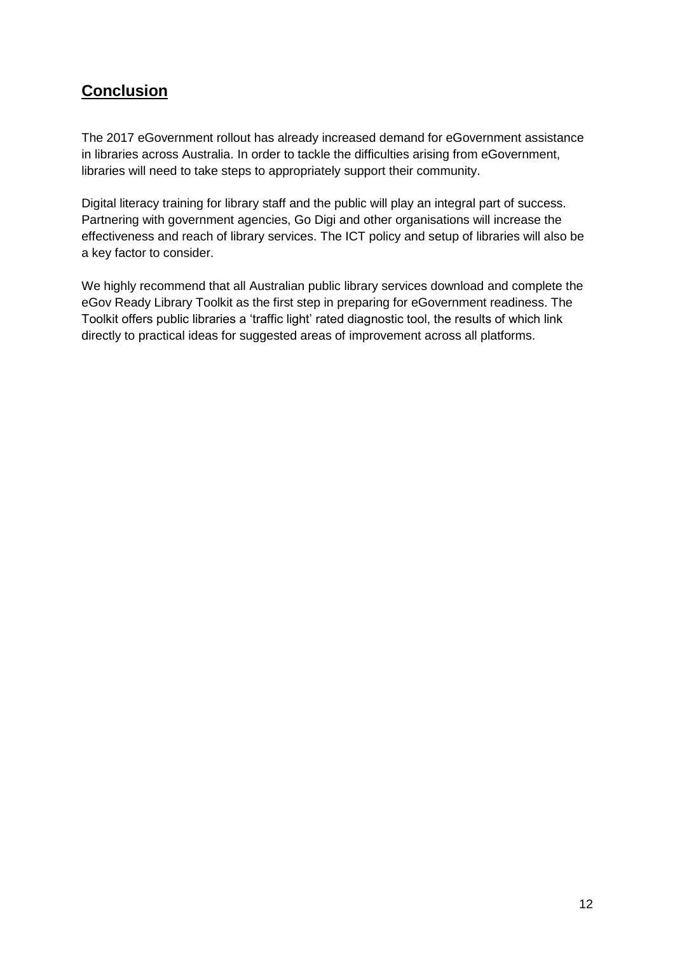## <span id="page-12-0"></span>**Conclusion**

The 2017 eGovernment rollout has already increased demand for eGovernment assistance in libraries across Australia. In order to tackle the difficulties arising from eGovernment, libraries will need to take steps to appropriately support their community.

Digital literacy training for library staff and the public will play an integral part of success. Partnering with government agencies, Go Digi and other organisations will increase the effectiveness and reach of library services. The ICT policy and setup of libraries will also be a key factor to consider.

We highly recommend that all Australian public library services download and complete the eGov Ready Library Toolkit as the first step in preparing for eGovernment readiness. The Toolkit offers public libraries a 'traffic light' rated diagnostic tool, the results of which link directly to practical ideas for suggested areas of improvement across all platforms.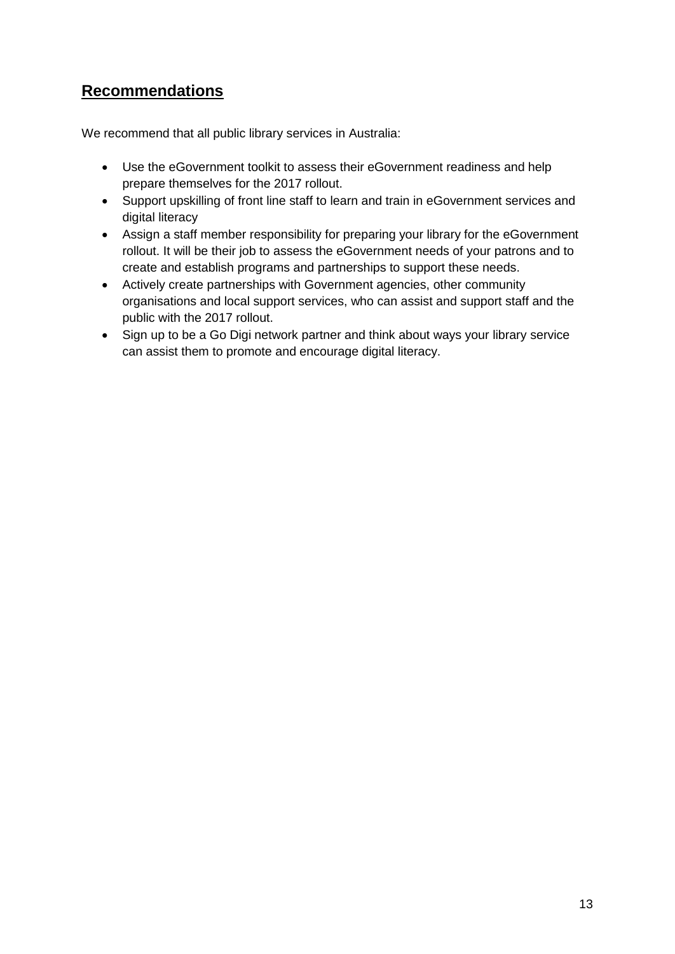## <span id="page-13-0"></span>**Recommendations**

We recommend that all public library services in Australia:

- Use the eGovernment toolkit to assess their eGovernment readiness and help prepare themselves for the 2017 rollout.
- Support upskilling of front line staff to learn and train in eGovernment services and digital literacy
- Assign a staff member responsibility for preparing your library for the eGovernment rollout. It will be their job to assess the eGovernment needs of your patrons and to create and establish programs and partnerships to support these needs.
- Actively create partnerships with Government agencies, other community organisations and local support services, who can assist and support staff and the public with the 2017 rollout.
- Sign up to be a Go Digi network partner and think about ways your library service can assist them to promote and encourage digital literacy.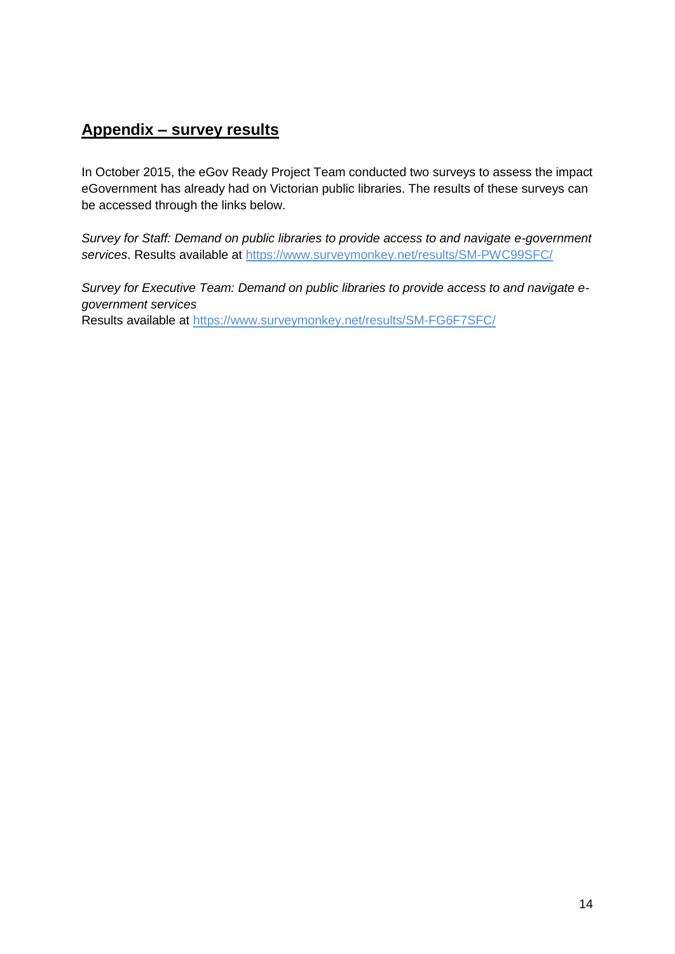## <span id="page-14-0"></span>**Appendix – survey results**

In October 2015, the eGov Ready Project Team conducted two surveys to assess the impact eGovernment has already had on Victorian public libraries. The results of these surveys can be accessed through the links below.

*Survey for Staff: Demand on public libraries to provide access to and navigate e-government services*. Results available at<https://www.surveymonkey.net/results/SM-PWC99SFC/>

*Survey for Executive Team: Demand on public libraries to provide access to and navigate egovernment services* Results available at<https://www.surveymonkey.net/results/SM-FG6F7SFC/>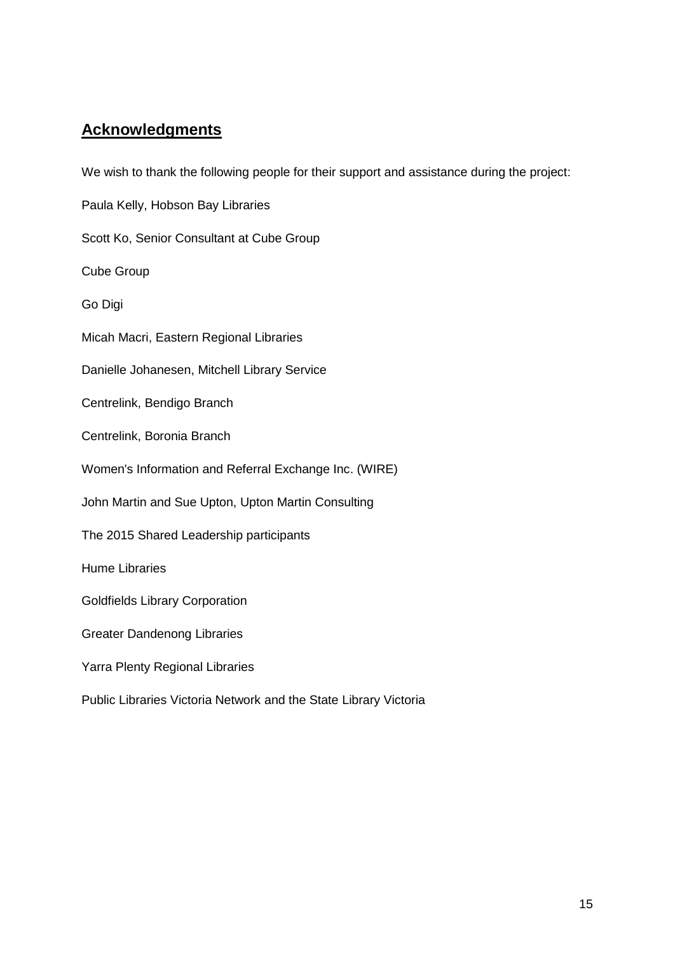## <span id="page-15-0"></span>**Acknowledgments**

We wish to thank the following people for their support and assistance during the project:

Paula Kelly, Hobson Bay Libraries

Scott Ko, Senior Consultant at Cube Group

Cube Group

Go Digi

Micah Macri, Eastern Regional Libraries

Danielle Johanesen, Mitchell Library Service

Centrelink, Bendigo Branch

Centrelink, Boronia Branch

Women's Information and Referral Exchange Inc. (WIRE)

John Martin and Sue Upton, Upton Martin Consulting

The 2015 Shared Leadership participants

Hume Libraries

Goldfields Library Corporation

Greater Dandenong Libraries

Yarra Plenty Regional Libraries

Public Libraries Victoria Network and the State Library Victoria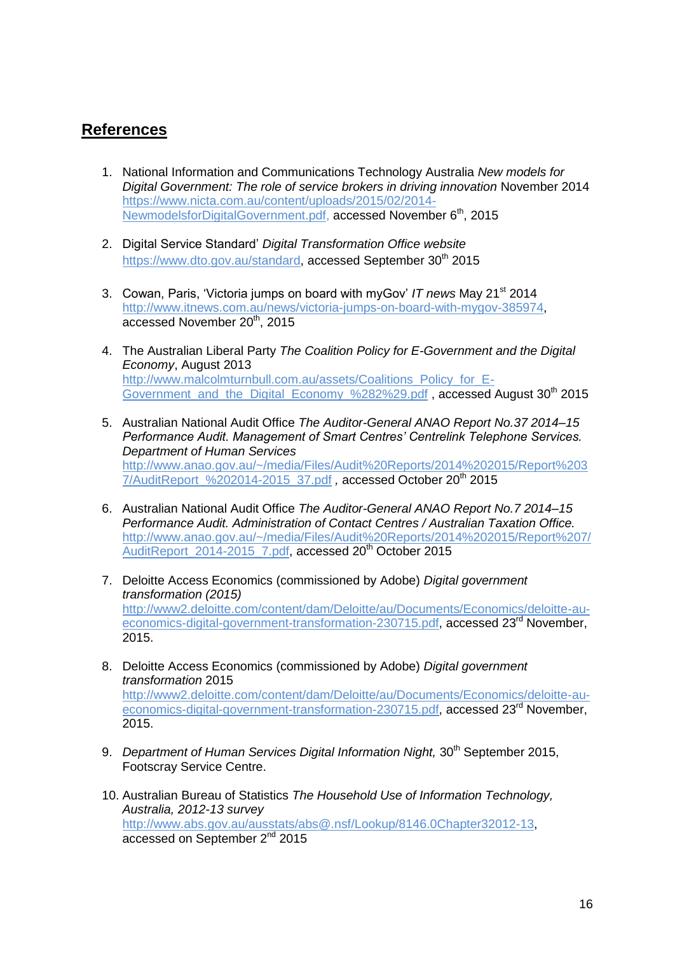## <span id="page-16-0"></span>**References**

- 1. National Information and Communications Technology Australia *New models for Digital Government: The role of service brokers in driving innovation* November 2014 [https://www.nicta.com.au/content/uploads/2015/02/2014-](https://www.nicta.com.au/content/uploads/2015/02/2014-NewmodelsforDigitalGovernment.pdf) [NewmodelsforDigitalGovernment.pdf,](https://www.nicta.com.au/content/uploads/2015/02/2014-NewmodelsforDigitalGovernment.pdf) accessed November 6<sup>th</sup>, 2015
- 2. Digital Service Standard' *Digital Transformation Office website*  [https://www.dto.gov.au/standard,](https://www.dto.gov.au/standard) accessed September 30<sup>th</sup> 2015
- 3. Cowan, Paris, 'Victoria jumps on board with myGov' *IT news* May 21st 2014 [http://www.itnews.com.au/news/victoria-jumps-on-board-with-mygov-385974,](http://www.itnews.com.au/news/victoria-jumps-on-board-with-mygov-385974) accessed November 20<sup>th</sup>, 2015
- 4. The Australian Liberal Party *The Coalition Policy for E-Government and the Digital Economy*, August 2013 [http://www.malcolmturnbull.com.au/assets/Coalitions\\_Policy\\_for\\_E-](http://www.malcolmturnbull.com.au/assets/Coalitions_Policy_for_E-Government_and_the_Digital_Economy_%282%29.pdf)Government and the Digital Economy %282%29.pdf , accessed August 30<sup>th</sup> 2015
- 5. Australian National Audit Office *The Auditor-General ANAO Report No.37 2014–15 Performance Audit. Management of Smart Centres' Centrelink Telephone Services. Department of Human Services*  [http://www.anao.gov.au/~/media/Files/Audit%20Reports/2014%202015/Report%203](http://www.anao.gov.au/~/media/Files/Audit%20Reports/2014%202015/Report%2037/AuditReport_%202014-2015_37.pdf) [7/AuditReport\\_%202014-2015\\_37.pdf](http://www.anao.gov.au/~/media/Files/Audit%20Reports/2014%202015/Report%2037/AuditReport_%202014-2015_37.pdf) *,* accessed October 20th 2015
- 6. Australian National Audit Office *The Auditor-General ANAO Report No.7 2014–15 Performance Audit. Administration of Contact Centres / Australian Taxation Office.*  [http://www.anao.gov.au/~/media/Files/Audit%20Reports/2014%202015/Report%207/](http://www.anao.gov.au/~/media/Files/Audit%20Reports/2014%202015/Report%207/AuditReport_2014-2015_7.pdf) [AuditReport\\_2014-2015\\_7.pdf,](http://www.anao.gov.au/~/media/Files/Audit%20Reports/2014%202015/Report%207/AuditReport_2014-2015_7.pdf) accessed 20<sup>th</sup> October 2015
- 7. Deloitte Access Economics (commissioned by Adobe) *Digital government transformation (2015)*  [http://www2.deloitte.com/content/dam/Deloitte/au/Documents/Economics/deloitte-au](http://www2.deloitte.com/content/dam/Deloitte/au/Documents/Economics/deloitte-au-economics-digital-government-transformation-230715.pdf)[economics-digital-government-transformation-230715.pdf,](http://www2.deloitte.com/content/dam/Deloitte/au/Documents/Economics/deloitte-au-economics-digital-government-transformation-230715.pdf) accessed 23<sup>rd</sup> November, 2015.
- 8. Deloitte Access Economics (commissioned by Adobe) *Digital government transformation* 2015 [http://www2.deloitte.com/content/dam/Deloitte/au/Documents/Economics/deloitte-au](http://www2.deloitte.com/content/dam/Deloitte/au/Documents/Economics/deloitte-au-economics-digital-government-transformation-230715.pdf)[economics-digital-government-transformation-230715.pdf,](http://www2.deloitte.com/content/dam/Deloitte/au/Documents/Economics/deloitte-au-economics-digital-government-transformation-230715.pdf) accessed 23<sup>rd</sup> November, 2015.
- 9. *Department of Human Services Digital Information Night*, 30<sup>th</sup> September 2015, Footscray Service Centre.
- 10. Australian Bureau of Statistics *The Household Use of Information Technology, Australia, 2012-13 survey*  [http://www.abs.gov.au/ausstats/abs@.nsf/Lookup/8146.0Chapter32012-13,](http://www.abs.gov.au/ausstats/abs@.nsf/Lookup/8146.0Chapter32012-13) accessed on September 2<sup>nd</sup> 2015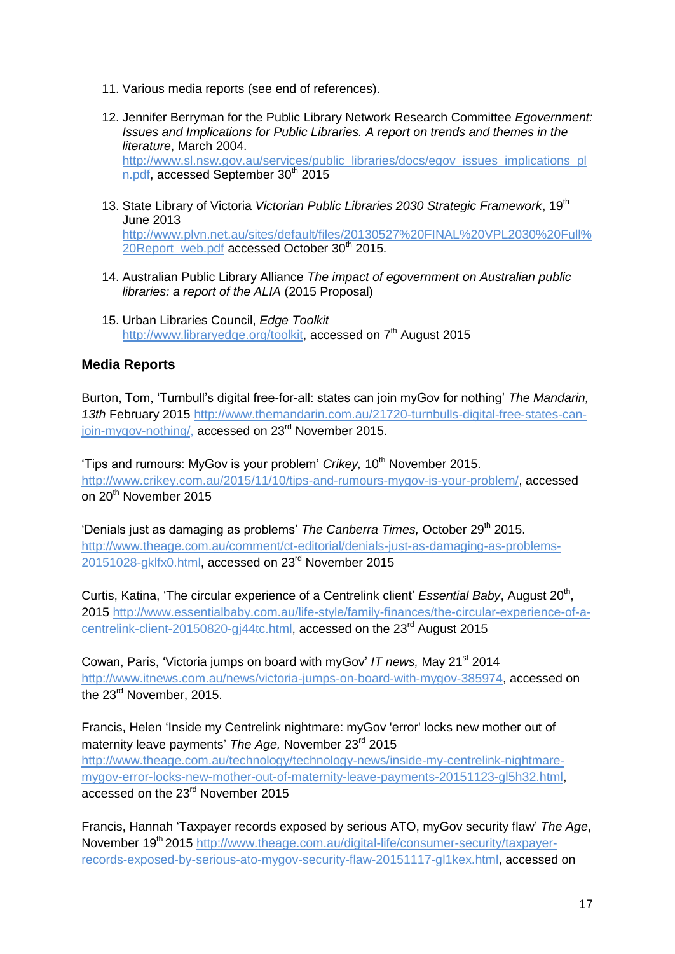- 11. Various media reports (see end of references).
- 12. Jennifer Berryman for the Public Library Network Research Committee *Egovernment: Issues and Implications for Public Libraries. A report on trends and themes in the literature*, March 2004. [http://www.sl.nsw.gov.au/services/public\\_libraries/docs/egov\\_issues\\_implications\\_pl](http://www.sl.nsw.gov.au/services/public_libraries/docs/egov_issues_implications_pln.pdf) [n.pdf,](http://www.sl.nsw.gov.au/services/public_libraries/docs/egov_issues_implications_pln.pdf) accessed September 30<sup>th</sup> 2015
- 13. State Library of Victoria *Victorian Public Libraries 2030 Strategic Framework*, 19th June 2013 [http://www.plvn.net.au/sites/default/files/20130527%20FINAL%20VPL2030%20Full%](http://www.plvn.net.au/sites/default/files/20130527%20FINAL%20VPL2030%20Full%20Report_web.pdf) [20Report\\_web.pdf](http://www.plvn.net.au/sites/default/files/20130527%20FINAL%20VPL2030%20Full%20Report_web.pdf) accessed October 30<sup>th</sup> 2015.
- 14. Australian Public Library Alliance *The impact of egovernment on Australian public libraries: a report of the ALIA* (2015 Proposal)
- 15. Urban Libraries Council, *Edge Toolkit* [http://www.libraryedge.org/toolkit,](http://www.libraryedge.org/toolkit) accessed on 7<sup>th</sup> August 2015

#### **Media Reports**

Burton, Tom, 'Turnbull's digital free-for-all: states can join myGov for nothing' *The Mandarin, 13th* February 2015 [http://www.themandarin.com.au/21720-turnbulls-digital-free-states-can](http://www.themandarin.com.au/21720-turnbulls-digital-free-states-can-join-mygov-nothing/)[join-mygov-nothing/,](http://www.themandarin.com.au/21720-turnbulls-digital-free-states-can-join-mygov-nothing/) accessed on 23<sup>rd</sup> November 2015.

'Tips and rumours: MyGov is your problem' *Crikey*, 10<sup>th</sup> November 2015. [http://www.crikey.com.au/2015/11/10/tips-and-rumours-mygov-is-your-problem/,](http://www.crikey.com.au/2015/11/10/tips-and-rumours-mygov-is-your-problem/) accessed on 20<sup>th</sup> November 2015

'Denials just as damaging as problems' *The Canberra Times*, October 29<sup>th</sup> 2015. [http://www.theage.com.au/comment/ct-editorial/denials-just-as-damaging-as-problems-](http://www.theage.com.au/comment/ct-editorial/denials-just-as-damaging-as-problems-20151028-gklfx0.html)[20151028-gklfx0.html,](http://www.theage.com.au/comment/ct-editorial/denials-just-as-damaging-as-problems-20151028-gklfx0.html) accessed on 23<sup>rd</sup> November 2015

Curtis, Katina, 'The circular experience of a Centrelink client' Essential Baby, August 20<sup>th</sup>, 2015 [http://www.essentialbaby.com.au/life-style/family-finances/the-circular-experience-of-a](http://www.essentialbaby.com.au/life-style/family-finances/the-circular-experience-of-a-centrelink-client-20150820-gj44tc.html)[centrelink-client-20150820-gj44tc.html,](http://www.essentialbaby.com.au/life-style/family-finances/the-circular-experience-of-a-centrelink-client-20150820-gj44tc.html) accessed on the 23<sup>rd</sup> August 2015

Cowan, Paris, 'Victoria jumps on board with myGov' *IT news,* May 21st 2014 [http://www.itnews.com.au/news/victoria-jumps-on-board-with-mygov-385974,](http://www.itnews.com.au/news/victoria-jumps-on-board-with-mygov-385974) accessed on the 23<sup>rd</sup> November, 2015.

Francis, Helen 'Inside my Centrelink nightmare: myGov 'error' locks new mother out of maternity leave payments' *The Age,* November 23rd 2015 [http://www.theage.com.au/technology/technology-news/inside-my-centrelink-nightmare](http://www.theage.com.au/technology/technology-news/inside-my-centrelink-nightmare-mygov-error-locks-new-mother-out-of-maternity-leave-payments-20151123-gl5h32.html)[mygov-error-locks-new-mother-out-of-maternity-leave-payments-20151123-gl5h32.html,](http://www.theage.com.au/technology/technology-news/inside-my-centrelink-nightmare-mygov-error-locks-new-mother-out-of-maternity-leave-payments-20151123-gl5h32.html) accessed on the 23<sup>rd</sup> November 2015

Francis, Hannah 'Taxpayer records exposed by serious ATO, myGov security flaw' *The Age*, November 19<sup>th</sup> 2015 [http://www.theage.com.au/digital-life/consumer-security/taxpayer](http://www.theage.com.au/digital-life/consumer-security/taxpayer-records-exposed-by-serious-ato-mygov-security-flaw-20151117-gl1kex.html)[records-exposed-by-serious-ato-mygov-security-flaw-20151117-gl1kex.html,](http://www.theage.com.au/digital-life/consumer-security/taxpayer-records-exposed-by-serious-ato-mygov-security-flaw-20151117-gl1kex.html) accessed on